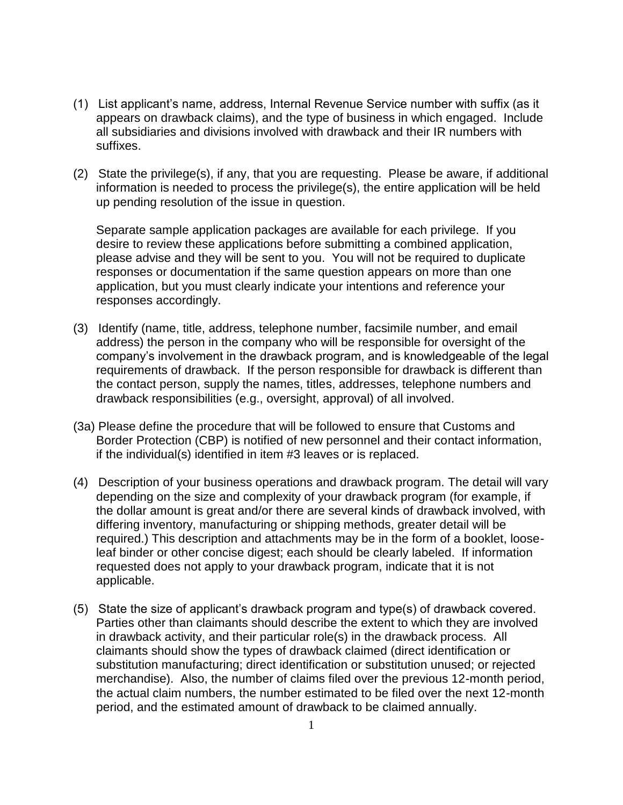- (1) List applicant's name, address, Internal Revenue Service number with suffix (as it appears on drawback claims), and the type of business in which engaged. Include all subsidiaries and divisions involved with drawback and their IR numbers with suffixes.
- (2) State the privilege(s), if any, that you are requesting. Please be aware, if additional information is needed to process the privilege(s), the entire application will be held up pending resolution of the issue in question.

Separate sample application packages are available for each privilege. If you desire to review these applications before submitting a combined application, please advise and they will be sent to you. You will not be required to duplicate responses or documentation if the same question appears on more than one application, but you must clearly indicate your intentions and reference your responses accordingly.

- (3) Identify (name, title, address, telephone number, facsimile number, and email address) the person in the company who will be responsible for oversight of the company's involvement in the drawback program, and is knowledgeable of the legal requirements of drawback. If the person responsible for drawback is different than the contact person, supply the names, titles, addresses, telephone numbers and drawback responsibilities (e.g., oversight, approval) of all involved.
- (3a) Please define the procedure that will be followed to ensure that Customs and Border Protection (CBP) is notified of new personnel and their contact information, if the individual(s) identified in item #3 leaves or is replaced.
- (4) Description of your business operations and drawback program. The detail will vary depending on the size and complexity of your drawback program (for example, if the dollar amount is great and/or there are several kinds of drawback involved, with differing inventory, manufacturing or shipping methods, greater detail will be required.) This description and attachments may be in the form of a booklet, looseleaf binder or other concise digest; each should be clearly labeled. If information requested does not apply to your drawback program, indicate that it is not applicable.
- (5) State the size of applicant's drawback program and type(s) of drawback covered. Parties other than claimants should describe the extent to which they are involved in drawback activity, and their particular role(s) in the drawback process. All claimants should show the types of drawback claimed (direct identification or substitution manufacturing; direct identification or substitution unused; or rejected merchandise). Also, the number of claims filed over the previous 12-month period, the actual claim numbers, the number estimated to be filed over the next 12-month period, and the estimated amount of drawback to be claimed annually.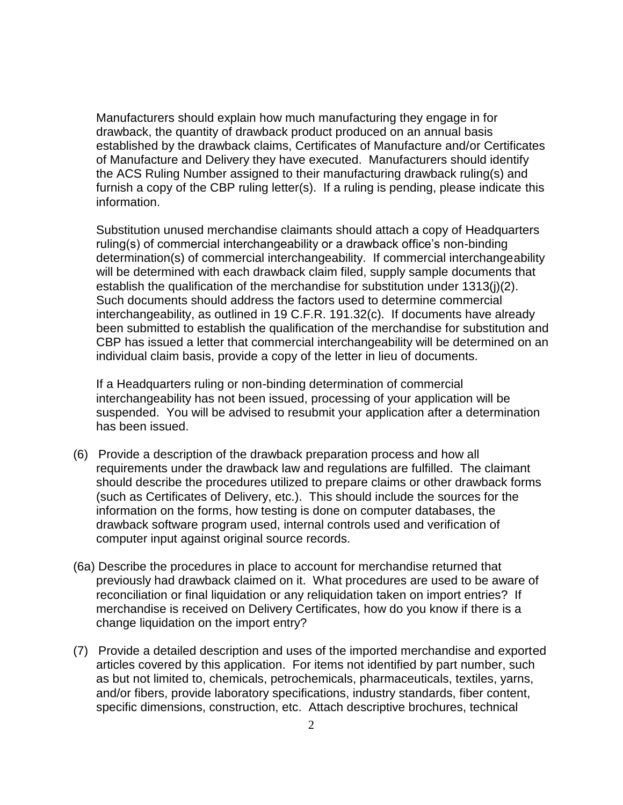Manufacturers should explain how much manufacturing they engage in for drawback, the quantity of drawback product produced on an annual basis established by the drawback claims, Certificates of Manufacture and/or Certificates of Manufacture and Delivery they have executed. Manufacturers should identify the ACS Ruling Number assigned to their manufacturing drawback ruling(s) and furnish a copy of the CBP ruling letter(s). If a ruling is pending, please indicate this information.

Substitution unused merchandise claimants should attach a copy of Headquarters ruling(s) of commercial interchangeability or a drawback office's non-binding determination(s) of commercial interchangeability. If commercial interchangeability will be determined with each drawback claim filed, supply sample documents that establish the qualification of the merchandise for substitution under 1313(j)(2). Such documents should address the factors used to determine commercial interchangeability, as outlined in 19 C.F.R. 191.32(c). If documents have already been submitted to establish the qualification of the merchandise for substitution and CBP has issued a letter that commercial interchangeability will be determined on an individual claim basis, provide a copy of the letter in lieu of documents.

If a Headquarters ruling or non-binding determination of commercial interchangeability has not been issued, processing of your application will be suspended. You will be advised to resubmit your application after a determination has been issued.

- (6) Provide a description of the drawback preparation process and how all requirements under the drawback law and regulations are fulfilled. The claimant should describe the procedures utilized to prepare claims or other drawback forms (such as Certificates of Delivery, etc.). This should include the sources for the information on the forms, how testing is done on computer databases, the drawback software program used, internal controls used and verification of computer input against original source records.
- (6a) Describe the procedures in place to account for merchandise returned that previously had drawback claimed on it. What procedures are used to be aware of reconciliation or final liquidation or any reliquidation taken on import entries? If merchandise is received on Delivery Certificates, how do you know if there is a change liquidation on the import entry?
- (7) Provide a detailed description and uses of the imported merchandise and exported articles covered by this application. For items not identified by part number, such as but not limited to, chemicals, petrochemicals, pharmaceuticals, textiles, yarns, and/or fibers, provide laboratory specifications, industry standards, fiber content, specific dimensions, construction, etc. Attach descriptive brochures, technical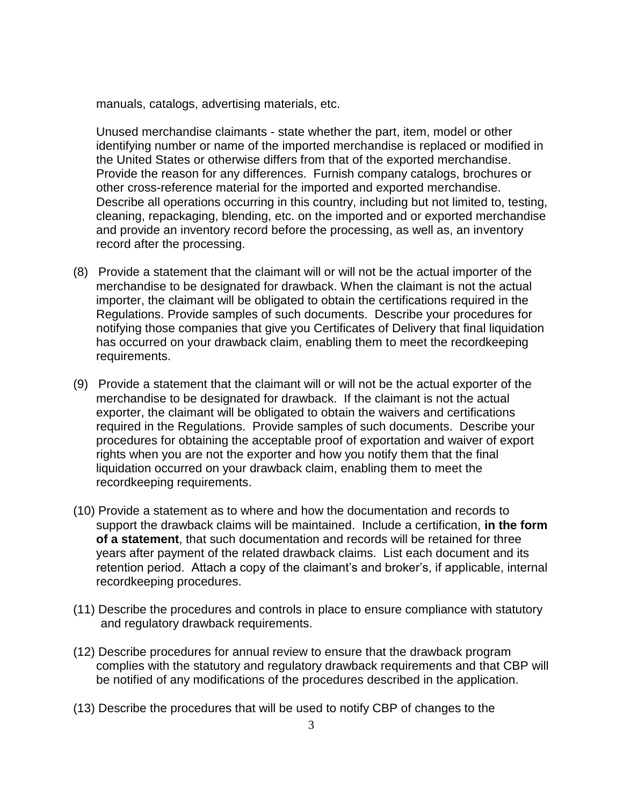manuals, catalogs, advertising materials, etc.

Unused merchandise claimants - state whether the part, item, model or other identifying number or name of the imported merchandise is replaced or modified in the United States or otherwise differs from that of the exported merchandise. Provide the reason for any differences. Furnish company catalogs, brochures or other cross-reference material for the imported and exported merchandise. Describe all operations occurring in this country, including but not limited to, testing, cleaning, repackaging, blending, etc. on the imported and or exported merchandise and provide an inventory record before the processing, as well as, an inventory record after the processing.

- (8) Provide a statement that the claimant will or will not be the actual importer of the merchandise to be designated for drawback. When the claimant is not the actual importer, the claimant will be obligated to obtain the certifications required in the Regulations. Provide samples of such documents. Describe your procedures for notifying those companies that give you Certificates of Delivery that final liquidation has occurred on your drawback claim, enabling them to meet the recordkeeping requirements.
- (9) Provide a statement that the claimant will or will not be the actual exporter of the merchandise to be designated for drawback. If the claimant is not the actual exporter, the claimant will be obligated to obtain the waivers and certifications required in the Regulations. Provide samples of such documents. Describe your procedures for obtaining the acceptable proof of exportation and waiver of export rights when you are not the exporter and how you notify them that the final liquidation occurred on your drawback claim, enabling them to meet the recordkeeping requirements.
- (10) Provide a statement as to where and how the documentation and records to support the drawback claims will be maintained. Include a certification, **in the form of a statement**, that such documentation and records will be retained for three years after payment of the related drawback claims. List each document and its retention period. Attach a copy of the claimant's and broker's, if applicable, internal recordkeeping procedures.
- (11) Describe the procedures and controls in place to ensure compliance with statutory and regulatory drawback requirements.
- (12) Describe procedures for annual review to ensure that the drawback program complies with the statutory and regulatory drawback requirements and that CBP will be notified of any modifications of the procedures described in the application.
- (13) Describe the procedures that will be used to notify CBP of changes to the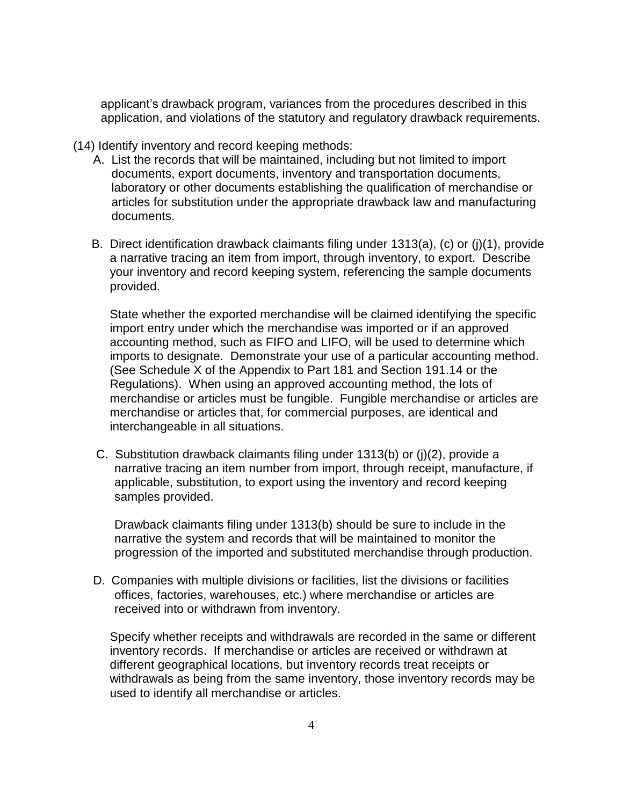applicant's drawback program, variances from the procedures described in this application, and violations of the statutory and regulatory drawback requirements.

- (14) Identify inventory and record keeping methods:
	- A. List the records that will be maintained, including but not limited to import documents, export documents, inventory and transportation documents, laboratory or other documents establishing the qualification of merchandise or articles for substitution under the appropriate drawback law and manufacturing documents.
	- B. Direct identification drawback claimants filing under 1313(a), (c) or (j)(1), provide a narrative tracing an item from import, through inventory, to export. Describe your inventory and record keeping system, referencing the sample documents provided.

State whether the exported merchandise will be claimed identifying the specific import entry under which the merchandise was imported or if an approved accounting method, such as FIFO and LIFO, will be used to determine which imports to designate. Demonstrate your use of a particular accounting method. (See Schedule X of the Appendix to Part 181 and Section 191.14 or the Regulations). When using an approved accounting method, the lots of merchandise or articles must be fungible. Fungible merchandise or articles are merchandise or articles that, for commercial purposes, are identical and interchangeable in all situations.

C. Substitution drawback claimants filing under 1313(b) or (j)(2), provide a narrative tracing an item number from import, through receipt, manufacture, if applicable, substitution, to export using the inventory and record keeping samples provided.

Drawback claimants filing under 1313(b) should be sure to include in the narrative the system and records that will be maintained to monitor the progression of the imported and substituted merchandise through production.

D. Companies with multiple divisions or facilities, list the divisions or facilities offices, factories, warehouses, etc.) where merchandise or articles are received into or withdrawn from inventory.

Specify whether receipts and withdrawals are recorded in the same or different inventory records. If merchandise or articles are received or withdrawn at different geographical locations, but inventory records treat receipts or withdrawals as being from the same inventory, those inventory records may be used to identify all merchandise or articles.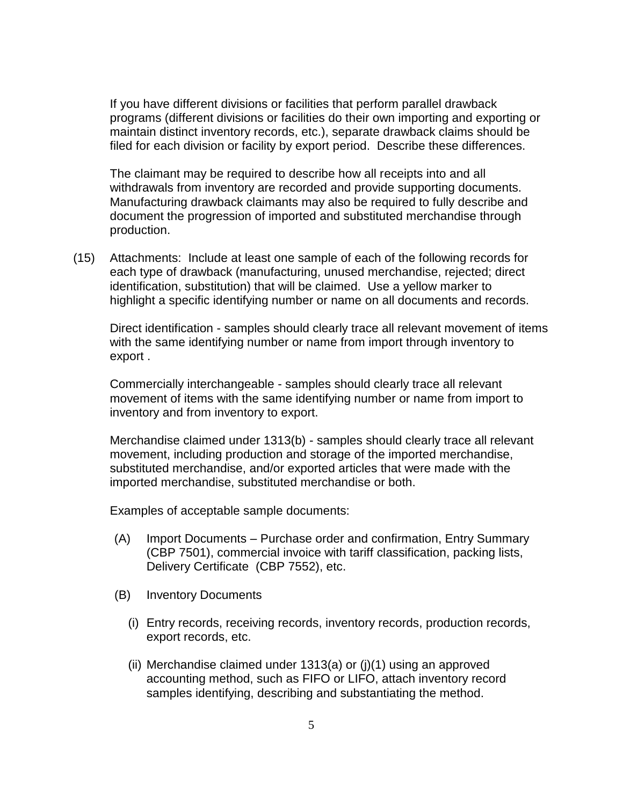If you have different divisions or facilities that perform parallel drawback programs (different divisions or facilities do their own importing and exporting or maintain distinct inventory records, etc.), separate drawback claims should be filed for each division or facility by export period. Describe these differences.

The claimant may be required to describe how all receipts into and all withdrawals from inventory are recorded and provide supporting documents. Manufacturing drawback claimants may also be required to fully describe and document the progression of imported and substituted merchandise through production.

(15) Attachments: Include at least one sample of each of the following records for each type of drawback (manufacturing, unused merchandise, rejected; direct identification, substitution) that will be claimed. Use a yellow marker to highlight a specific identifying number or name on all documents and records.

Direct identification - samples should clearly trace all relevant movement of items with the same identifying number or name from import through inventory to export .

Commercially interchangeable - samples should clearly trace all relevant movement of items with the same identifying number or name from import to inventory and from inventory to export.

Merchandise claimed under 1313(b) - samples should clearly trace all relevant movement, including production and storage of the imported merchandise, substituted merchandise, and/or exported articles that were made with the imported merchandise, substituted merchandise or both.

Examples of acceptable sample documents:

- (A) Import Documents Purchase order and confirmation, Entry Summary (CBP 7501), commercial invoice with tariff classification, packing lists, Delivery Certificate (CBP 7552), etc.
- (B) Inventory Documents
	- (i) Entry records, receiving records, inventory records, production records, export records, etc.
	- (ii) Merchandise claimed under 1313(a) or (j)(1) using an approved accounting method, such as FIFO or LIFO, attach inventory record samples identifying, describing and substantiating the method.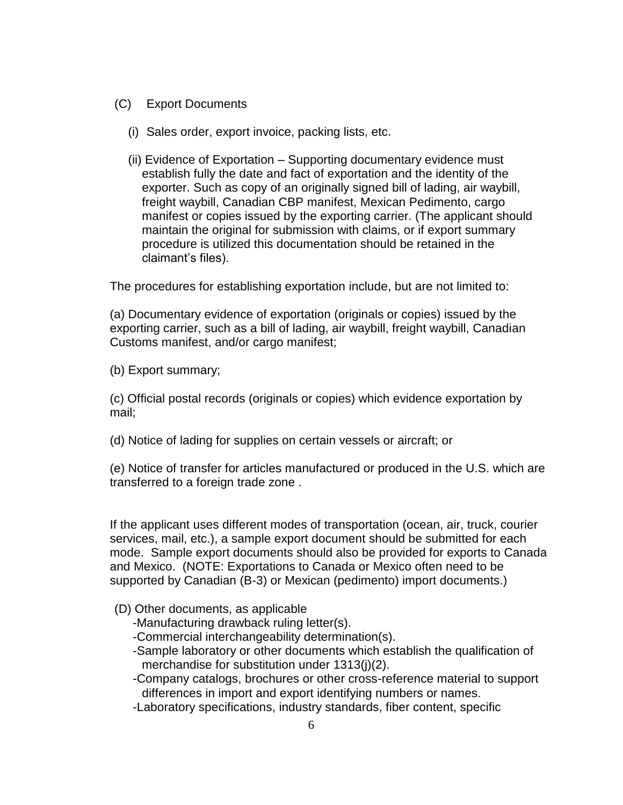- (C) Export Documents
	- (i) Sales order, export invoice, packing lists, etc.
	- (ii) Evidence of Exportation Supporting documentary evidence must establish fully the date and fact of exportation and the identity of the exporter. Such as copy of an originally signed bill of lading, air waybill, freight waybill, Canadian CBP manifest, Mexican Pedimento, cargo manifest or copies issued by the exporting carrier. (The applicant should maintain the original for submission with claims, or if export summary procedure is utilized this documentation should be retained in the claimant's files).

The procedures for establishing exportation include, but are not limited to:

(a) Documentary evidence of exportation (originals or copies) issued by the exporting carrier, such as a bill of lading, air waybill, freight waybill, Canadian Customs manifest, and/or cargo manifest;

(b) Export summary;

(c) Official postal records (originals or copies) which evidence exportation by mail;

(d) Notice of lading for supplies on certain vessels or aircraft; or

(e) Notice of transfer for articles manufactured or produced in the U.S. which are transferred to a foreign trade zone .

If the applicant uses different modes of transportation (ocean, air, truck, courier services, mail, etc.), a sample export document should be submitted for each mode. Sample export documents should also be provided for exports to Canada and Mexico. (NOTE: Exportations to Canada or Mexico often need to be supported by Canadian (B-3) or Mexican (pedimento) import documents.)

## (D) Other documents, as applicable

- -Manufacturing drawback ruling letter(s).
- -Commercial interchangeability determination(s).
- -Sample laboratory or other documents which establish the qualification of merchandise for substitution under 1313(j)(2).
- -Company catalogs, brochures or other cross-reference material to support differences in import and export identifying numbers or names.
- -Laboratory specifications, industry standards, fiber content, specific